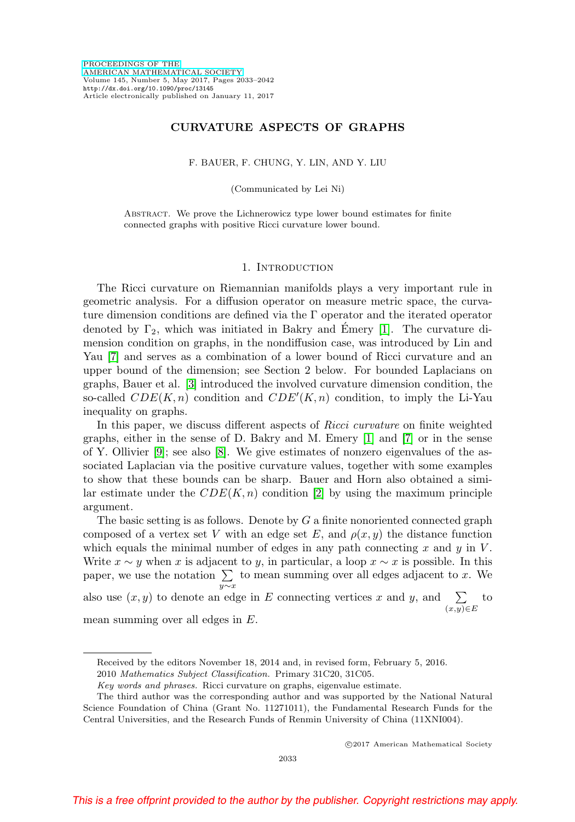### **CURVATURE ASPECTS OF GRAPHS**

F. BAUER, F. CHUNG, Y. LIN, AND Y. LIU

(Communicated by Lei Ni)

Abstract. We prove the Lichnerowicz type lower bound estimates for finite connected graphs with positive Ricci curvature lower bound.

#### 1. Introduction

The Ricci curvature on Riemannian manifolds plays a very important rule in geometric analysis. For a diffusion operator on measure metric space, the curvature dimension conditions are defined via the  $\Gamma$  operator and the iterated operator denoted by  $\Gamma_2$ , which was initiated in Bakry and Emery [\[1\]](#page-8-0). The curvature dimension condition on graphs, in the nondiffusion case, was introduced by Lin and Yau [\[7\]](#page-9-0) and serves as a combination of a lower bound of Ricci curvature and an upper bound of the dimension; see Section 2 below. For bounded Laplacians on graphs, Bauer et al. [\[3\]](#page-8-1) introduced the involved curvature dimension condition, the so-called  $CDE(K, n)$  condition and  $CDE'(K, n)$  condition, to imply the Li-Yau inequality on graphs.

In this paper, we discuss different aspects of Ricci curvature on finite weighted graphs, either in the sense of D. Bakry and M. Emery [\[1\]](#page-8-0) and [\[7\]](#page-9-0) or in the sense of Y. Ollivier [\[9\]](#page-9-1); see also [\[8\]](#page-9-2). We give estimates of nonzero eigenvalues of the associated Laplacian via the positive curvature values, together with some examples to show that these bounds can be sharp. Bauer and Horn also obtained a similar estimate under the  $CDE(K, n)$  condition [\[2\]](#page-8-2) by using the maximum principle argument.

The basic setting is as follows. Denote by  $G$  a finite nonoriented connected graph composed of a vertex set V with an edge set E, and  $\rho(x, y)$  the distance function which equals the minimal number of edges in any path connecting  $x$  and  $y$  in  $V$ . Write  $x \sim y$  when x is adjacent to y, in particular, a loop  $x \sim x$  is possible. In this paper, we use the notation  $\sum$  to mean summing over all edges adjacent to x. We y∼x also use  $(x, y)$  to denote an edge in E connecting vertices x and y, and  $\sum$  $(x,y)∈E$ to

mean summing over all edges in E.

-c 2017 American Mathematical Society

Received by the editors November 18, 2014 and, in revised form, February 5, 2016.

<sup>2010</sup> Mathematics Subject Classification. Primary 31C20, 31C05.

Key words and phrases. Ricci curvature on graphs, eigenvalue estimate.

The third author was the corresponding author and was supported by the National Natural Science Foundation of China (Grant No. 11271011), the Fundamental Research Funds for the Central Universities, and the Research Funds of Renmin University of China (11XNI004).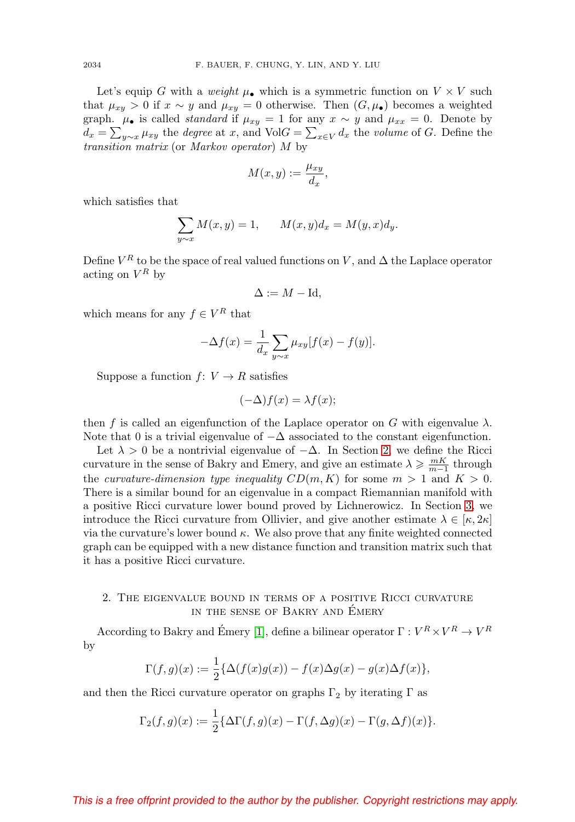Let's equip G with a weight  $\mu_{\bullet}$  which is a symmetric function on  $V \times V$  such that  $\mu_{xy} > 0$  if  $x \sim y$  and  $\mu_{xy} = 0$  otherwise. Then  $(G, \mu_{\bullet})$  becomes a weighted graph.  $\mu_{\bullet}$  is called *standard* if  $\mu_{xy} = 1$  for any  $x \sim y$  and  $\mu_{xx} = 0$ . Denote by  $d_x = \sum_{y \sim x} \mu_{xy}$  the *degree* at x, and VolG =  $\sum_{x \in V} d_x$  the *volume* of G. Define the transition matrix (or Markov operator) M by

$$
M(x,y):=\frac{\mu_{xy}}{d_x},
$$

which satisfies that

$$
\sum_{y \sim x} M(x, y) = 1, \qquad M(x, y)d_x = M(y, x)d_y.
$$

Define  $V^R$  to be the space of real valued functions on V, and  $\Delta$  the Laplace operator acting on  $V^R$  by

$$
\Delta := M - \mathrm{Id},
$$

which means for any  $f \in V^R$  that

$$
-\Delta f(x) = \frac{1}{d_x} \sum_{y \sim x} \mu_{xy} [f(x) - f(y)].
$$

Suppose a function  $f: V \to R$  satisfies

$$
(-\Delta)f(x) = \lambda f(x);
$$

then f is called an eigenfunction of the Laplace operator on G with eigenvalue  $\lambda$ . Note that 0 is a trivial eigenvalue of  $-\Delta$  associated to the constant eigenfunction.

Let  $\lambda > 0$  be a nontrivial eigenvalue of  $-\Delta$ . In Section [2,](#page-1-0) we define the Ricci curvature in the sense of Bakry and Emery, and give an estimate  $\lambda \geq \frac{mK}{m-1}$  through the curvature-dimension type inequality  $CD(m, K)$  for some  $m > 1$  and  $K > 0$ . There is a similar bound for an eigenvalue in a compact Riemannian manifold with a positive Ricci curvature lower bound proved by Lichnerowicz. In Section [3,](#page-4-0) we introduce the Ricci curvature from Ollivier, and give another estimate  $\lambda \in [\kappa, 2\kappa]$ via the curvature's lower bound  $\kappa$ . We also prove that any finite weighted connected graph can be equipped with a new distance function and transition matrix such that it has a positive Ricci curvature.

# <span id="page-1-0"></span>2. The eigenvalue bound in terms of a positive Ricci curvature IN THE SENSE OF BAKRY AND ÉMERY

According to Bakry and Émery [\[1\]](#page-8-0), define a bilinear operator  $\Gamma : V^R \times V^R \to V^R$ by

$$
\Gamma(f,g)(x) := \frac{1}{2} \{ \Delta(f(x)g(x)) - f(x) \Delta g(x) - g(x) \Delta f(x) \},
$$

and then the Ricci curvature operator on graphs  $\Gamma_2$  by iterating  $\Gamma$  as

$$
\Gamma_2(f,g)(x) := \frac{1}{2} \{ \Delta \Gamma(f,g)(x) - \Gamma(f,\Delta g)(x) - \Gamma(g,\Delta f)(x) \}.
$$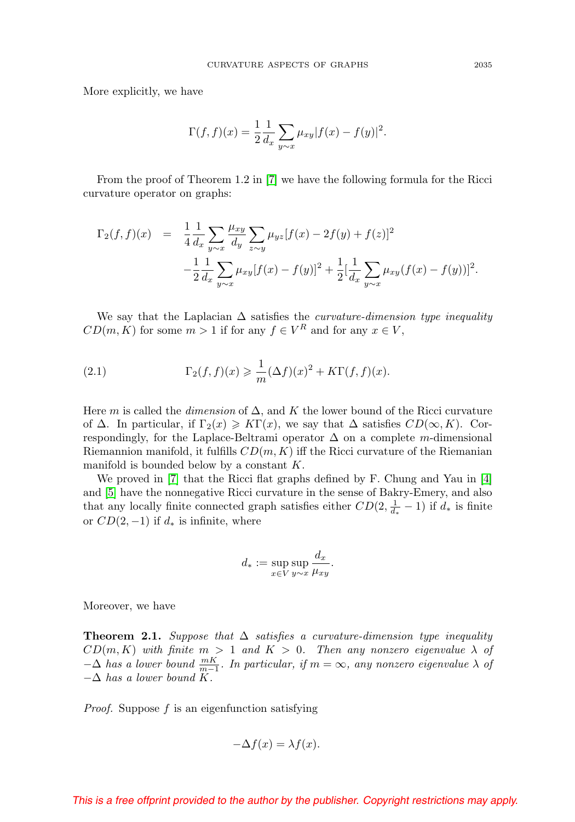More explicitly, we have

$$
\Gamma(f, f)(x) = \frac{1}{2} \frac{1}{d_x} \sum_{y \sim x} \mu_{xy} |f(x) - f(y)|^2.
$$

From the proof of Theorem 1.2 in [\[7\]](#page-9-0) we have the following formula for the Ricci curvature operator on graphs:

$$
\Gamma_2(f, f)(x) = \frac{1}{4} \frac{1}{d_x} \sum_{y \sim x} \frac{\mu_{xy}}{d_y} \sum_{z \sim y} \mu_{yz} [f(x) - 2f(y) + f(z)]^2
$$
  

$$
- \frac{1}{2} \frac{1}{d_x} \sum_{y \sim x} \mu_{xy} [f(x) - f(y)]^2 + \frac{1}{2} [\frac{1}{d_x} \sum_{y \sim x} \mu_{xy} (f(x) - f(y))]^2.
$$

We say that the Laplacian  $\Delta$  satisfies the *curvature-dimension type inequality*  $CD(m, K)$  for some  $m > 1$  if for any  $f \in V^R$  and for any  $x \in V$ ,

<span id="page-2-0"></span>(2.1) 
$$
\Gamma_2(f, f)(x) \geq \frac{1}{m} (\Delta f)(x)^2 + K\Gamma(f, f)(x).
$$

Here m is called the dimension of  $\Delta$ , and K the lower bound of the Ricci curvature of  $\Delta$ . In particular, if  $\Gamma_2(x) \geqslant K\Gamma(x)$ , we say that  $\Delta$  satisfies  $CD(\infty, K)$ . Correspondingly, for the Laplace-Beltrami operator  $\Delta$  on a complete m-dimensional Riemannion manifold, it fulfills  $CD(m, K)$  iff the Ricci curvature of the Riemanian manifold is bounded below by a constant K.

We proved in  $|7|$  that the Ricci flat graphs defined by F. Chung and Yau in  $|4|$ and [\[5\]](#page-8-4) have the nonnegative Ricci curvature in the sense of Bakry-Emery, and also that any locally finite connected graph satisfies either  $CD(2, \frac{1}{d_*} - 1)$  if  $d_*$  is finite or  $CD(2, -1)$  if  $d_*$  is infinite, where

$$
d_* := \sup_{x \in V} \sup_{y \sim x} \frac{d_x}{\mu_{xy}}.
$$

Moreover, we have

<span id="page-2-1"></span>**Theorem 2.1.** Suppose that  $\Delta$  satisfies a curvature-dimension type inequality  $CD(m, K)$  with finite  $m > 1$  and  $K > 0$ . Then any nonzero eigenvalue  $\lambda$  of  $-\Delta$  has a lower bound  $\frac{mK}{m-1}$ . In particular, if  $m = \infty$ , any nonzero eigenvalue  $\lambda$  of  $-\Delta$  has a lower bound K.

*Proof.* Suppose  $f$  is an eigenfunction satisfying

$$
-\Delta f(x) = \lambda f(x).
$$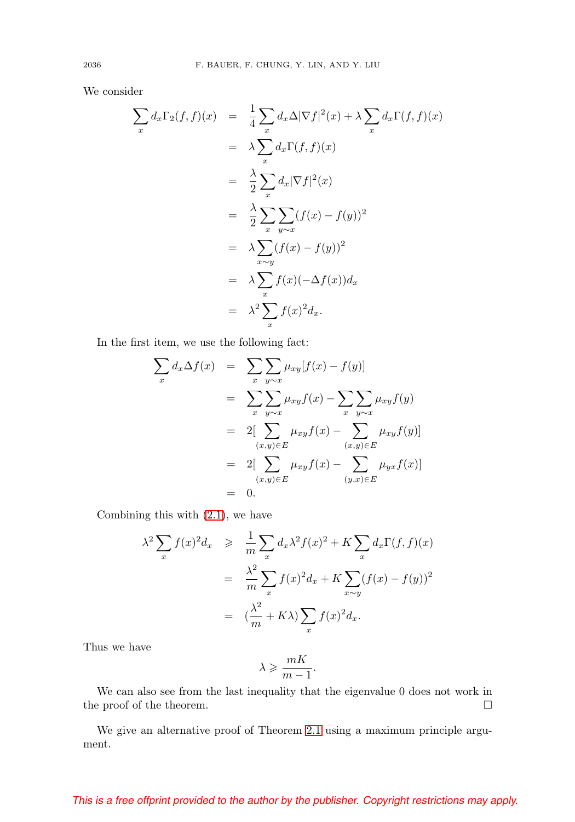We consider

$$
\sum_{x} d_x \Gamma_2(f, f)(x) = \frac{1}{4} \sum_{x} d_x \Delta |\nabla f|^2(x) + \lambda \sum_{x} d_x \Gamma(f, f)(x)
$$
  
\n
$$
= \lambda \sum_{x} d_x \Gamma(f, f)(x)
$$
  
\n
$$
= \frac{\lambda}{2} \sum_{x} d_x |\nabla f|^2(x)
$$
  
\n
$$
= \frac{\lambda}{2} \sum_{x} \sum_{y \sim x} (f(x) - f(y))^2
$$
  
\n
$$
= \lambda \sum_{x \sim y} (f(x) - f(y))^2
$$
  
\n
$$
= \lambda \sum_{x} f(x) (-\Delta f(x)) d_x
$$
  
\n
$$
= \lambda^2 \sum_{x} f(x)^2 d_x.
$$

In the first item, we use the following fact:

$$
\sum_{x} d_x \Delta f(x) = \sum_{x} \sum_{y \sim x} \mu_{xy} [f(x) - f(y)]
$$
  
\n
$$
= \sum_{x} \sum_{y \sim x} \mu_{xy} f(x) - \sum_{x} \sum_{y \sim x} \mu_{xy} f(y)
$$
  
\n
$$
= 2[\sum_{(x,y) \in E} \mu_{xy} f(x) - \sum_{(x,y) \in E} \mu_{xy} f(y)]
$$
  
\n
$$
= 2[\sum_{(x,y) \in E} \mu_{xy} f(x) - \sum_{(y,x) \in E} \mu_{yx} f(x)]
$$
  
\n
$$
= 0.
$$

Combining this with [\(2.1\)](#page-2-0), we have

$$
\lambda^2 \sum_x f(x)^2 d_x \geq \frac{1}{m} \sum_x d_x \lambda^2 f(x)^2 + K \sum_x d_x \Gamma(f, f)(x)
$$
  
= 
$$
\frac{\lambda^2}{m} \sum_x f(x)^2 d_x + K \sum_{x \sim y} (f(x) - f(y))^2
$$
  
= 
$$
(\frac{\lambda^2}{m} + K\lambda) \sum_x f(x)^2 d_x.
$$

Thus we have

$$
\lambda \geqslant \frac{mK}{m-1}.
$$

We can also see from the last inequality that the eigenvalue 0 does not work in the proof of the theorem.  $\hfill \square$ 

We give an alternative proof of Theorem [2.1](#page-2-1) using a maximum principle argument.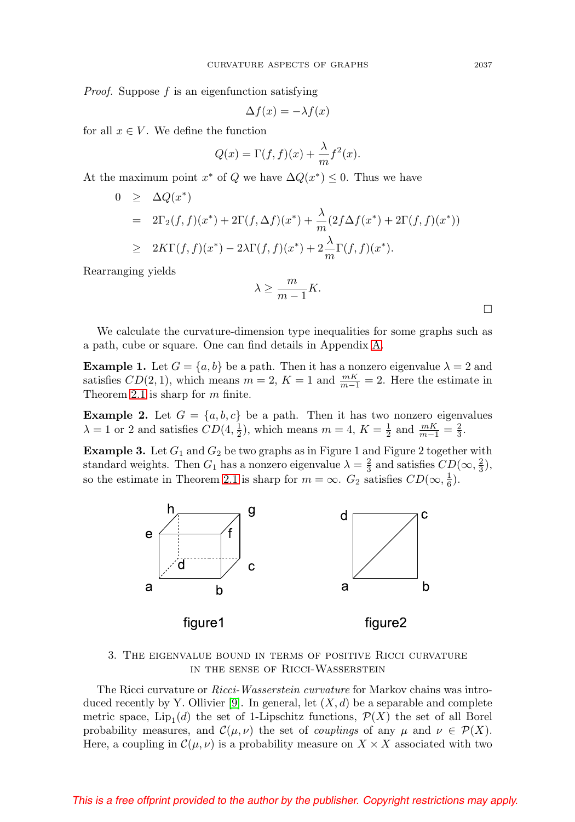Proof. Suppose f is an eigenfunction satisfying

$$
\Delta f(x) = -\lambda f(x)
$$

for all  $x \in V$ . We define the function

$$
Q(x) = \Gamma(f, f)(x) + \frac{\lambda}{m} f^{2}(x).
$$

At the maximum point  $x^*$  of Q we have  $\Delta Q(x^*) \leq 0$ . Thus we have

$$
0 \geq \Delta Q(x^*)
$$
  
=  $2\Gamma_2(f, f)(x^*) + 2\Gamma(f, \Delta f)(x^*) + \frac{\lambda}{m}(2f\Delta f(x^*) + 2\Gamma(f, f)(x^*))$   

$$
\geq 2K\Gamma(f, f)(x^*) - 2\lambda\Gamma(f, f)(x^*) + 2\frac{\lambda}{m}\Gamma(f, f)(x^*).
$$

Rearranging yields

$$
\lambda \ge \frac{m}{m-1}K.
$$

We calculate the curvature-dimension type inequalities for some graphs such as a path, cube or square. One can find details in Appendix [A.](#page-7-0)

**Example 1.** Let  $G = \{a, b\}$  be a path. Then it has a nonzero eigenvalue  $\lambda = 2$  and satisfies  $CD(2, 1)$ , which means  $m = 2$ ,  $K = 1$  and  $\frac{mK}{m-1} = 2$ . Here the estimate in Theorem [2.1](#page-2-1) is sharp for m finite.

**Example 2.** Let  $G = \{a, b, c\}$  be a path. Then it has two nonzero eigenvalues  $\lambda = 1$  or 2 and satisfies  $CD(4, \frac{1}{2})$ , which means  $m = 4$ ,  $K = \frac{1}{2}$  and  $\frac{mK}{m-1} = \frac{2}{3}$ .

**Example 3.** Let  $G_1$  and  $G_2$  be two graphs as in Figure 1 and Figure 2 together with standard weights. Then  $G_1$  has a nonzero eigenvalue  $\lambda = \frac{2}{3}$  and satisfies  $CD(\infty, \frac{2}{3})$ , so the estimate in Theorem [2.1](#page-2-1) is sharp for  $m = \infty$ .  $G_2$  satisfies  $CD(\infty, \frac{1}{6})$ .



## <span id="page-4-0"></span>3. The eigenvalue bound in terms of positive Ricci curvature in the sense of Ricci-Wasserstein

The Ricci curvature or Ricci-Wasserstein curvature for Markov chains was intro-duced recently by Y. Ollivier [\[9\]](#page-9-1). In general, let  $(X, d)$  be a separable and complete metric space, Lip<sub>1</sub>(d) the set of 1-Lipschitz functions,  $\mathcal{P}(X)$  the set of all Borel probability measures, and  $\mathcal{C}(\mu, \nu)$  the set of *couplings* of any  $\mu$  and  $\nu \in \mathcal{P}(X)$ . Here, a coupling in  $\mathcal{C}(\mu, \nu)$  is a probability measure on  $X \times X$  associated with two

 $\Box$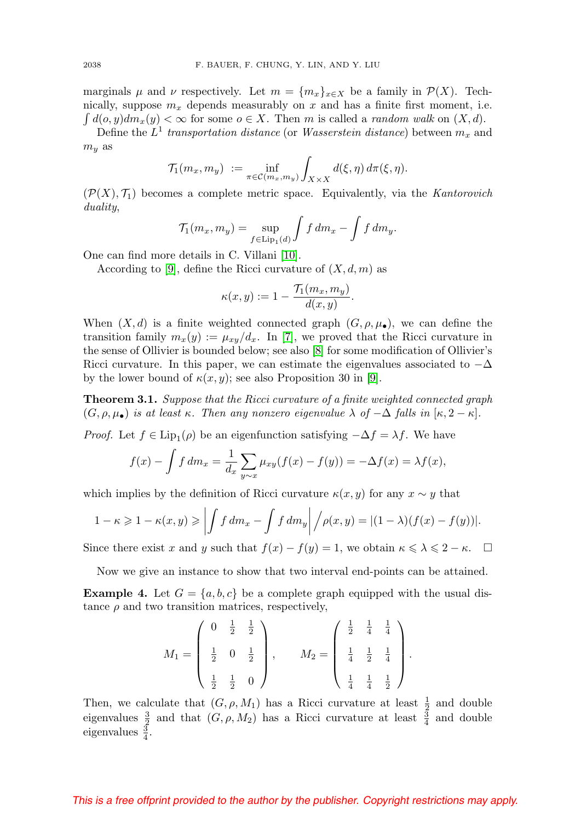marginals  $\mu$  and  $\nu$  respectively. Let  $m = \{m_x\}_{x \in X}$  be a family in  $\mathcal{P}(X)$ . Technically, suppose  $m_x$  depends measurably on x and has a finite first moment, i.e.  $\int d(o, y) dm_x(y) < \infty$  for some  $o \in X$ . Then m is called a *random walk* on  $(X, d)$ .

Define the  $L^1$  transportation distance (or Wasserstein distance) between  $m_x$  and  $m_y$  as

$$
\mathcal{T}_1(m_x, m_y) := \inf_{\pi \in \mathcal{C}(m_x, m_y)} \int_{X \times X} d(\xi, \eta) d\pi(\xi, \eta).
$$

 $(\mathcal{P}(X), \mathcal{T}_1)$  becomes a complete metric space. Equivalently, via the Kantorovich duality,

$$
\mathcal{T}_1(m_x, m_y) = \sup_{f \in \text{Lip}_1(d)} \int f \, dm_x - \int f \, dm_y.
$$

One can find more details in C. Villani [\[10\]](#page-9-3).

According to [\[9\]](#page-9-1), define the Ricci curvature of  $(X, d, m)$  as

$$
\kappa(x,y) := 1 - \frac{\mathcal{T}_1(m_x, m_y)}{d(x,y)}.
$$

When  $(X, d)$  is a finite weighted connected graph  $(G, \rho, \mu_{\bullet})$ , we can define the transition family  $m_x(y) := \mu_{xy}/d_x$ . In [\[7\]](#page-9-0), we proved that the Ricci curvature in the sense of Ollivier is bounded below; see also [\[8\]](#page-9-2) for some modification of Ollivier's Ricci curvature. In this paper, we can estimate the eigenvalues associated to  $-\Delta$ by the lower bound of  $\kappa(x, y)$ ; see also Proposition 30 in [\[9\]](#page-9-1).

<span id="page-5-0"></span>**Theorem 3.1.** Suppose that the Ricci curvature of a finite weighted connected graph  $(G, \rho, \mu_{\bullet})$  is at least  $\kappa$ . Then any nonzero eigenvalue  $\lambda$  of  $-\Delta$  falls in  $[\kappa, 2-\kappa]$ .

*Proof.* Let  $f \in \text{Lip}_1(\rho)$  be an eigenfunction satisfying  $-\Delta f = \lambda f$ . We have

$$
f(x) - \int f dm_x = \frac{1}{d_x} \sum_{y \sim x} \mu_{xy}(f(x) - f(y)) = -\Delta f(x) = \lambda f(x),
$$

which implies by the definition of Ricci curvature  $\kappa(x, y)$  for any  $x \sim y$  that

$$
1 - \kappa \geqslant 1 - \kappa(x, y) \geqslant \left| \int f \, dm_x - \int f \, dm_y \right| / \rho(x, y) = |(1 - \lambda)(f(x) - f(y))|.
$$

Since there exist x and y such that  $f(x) - f(y) = 1$ , we obtain  $\kappa \le \lambda \le 2 - \kappa$ .  $\Box$ 

Now we give an instance to show that two interval end-points can be attained.

**Example 4.** Let  $G = \{a, b, c\}$  be a complete graph equipped with the usual distance  $\rho$  and two transition matrices, respectively,

$$
M_1 = \begin{pmatrix} 0 & \frac{1}{2} & \frac{1}{2} \\ \frac{1}{2} & 0 & \frac{1}{2} \\ \frac{1}{2} & \frac{1}{2} & 0 \end{pmatrix}, \qquad M_2 = \begin{pmatrix} \frac{1}{2} & \frac{1}{4} & \frac{1}{4} \\ \frac{1}{4} & \frac{1}{2} & \frac{1}{4} \\ \frac{1}{4} & \frac{1}{4} & \frac{1}{2} \end{pmatrix}.
$$

Then, we calculate that  $(G, \rho, M_1)$  has a Ricci curvature at least  $\frac{1}{2}$  and double eigenvalues  $\frac{3}{2}$  and that  $(G, \rho, M_2)$  has a Ricci curvature at least  $\frac{3}{4}$  and double eigenvalues  $\frac{3}{4}$ .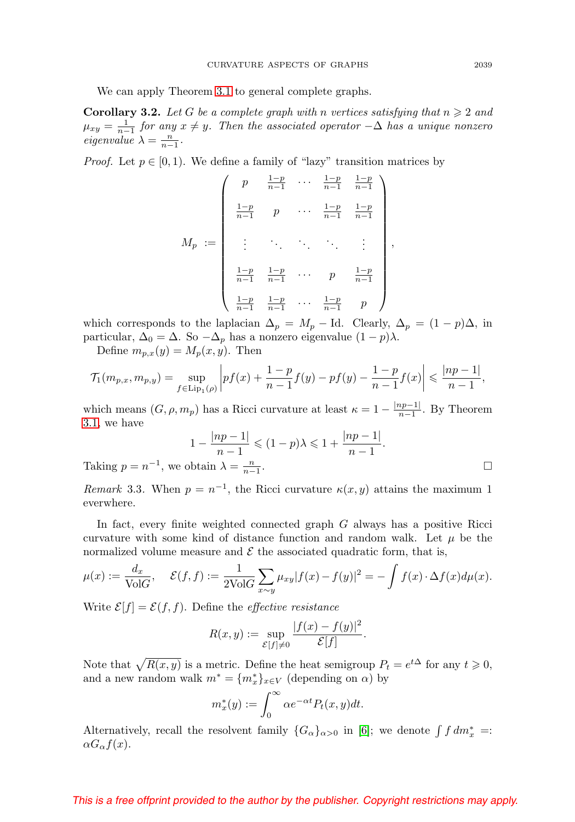We can apply Theorem [3.1](#page-5-0) to general complete graphs.

**Corollary 3.2.** Let G be a complete graph with n vertices satisfying that  $n \geq 2$  and  $\mu_{xy} = \frac{1}{n-1}$  for any  $x \neq y$ . Then the associated operator  $-\Delta$  has a unique nonzero eigenvalue  $\lambda = \frac{n}{n-1}$ .

*Proof.* Let  $p \in [0, 1)$ . We define a family of "lazy" transition matrices by

$$
M_p := \begin{pmatrix} p & \frac{1-p}{n-1} & \cdots & \frac{1-p}{n-1} & \frac{1-p}{n-1} \\ \frac{1-p}{n-1} & p & \cdots & \frac{1-p}{n-1} & \frac{1-p}{n-1} \\ \vdots & \ddots & \ddots & \ddots & \vdots \\ \frac{1-p}{n-1} & \frac{1-p}{n-1} & \cdots & p & \frac{1-p}{n-1} \\ \frac{1-p}{n-1} & \frac{1-p}{n-1} & \cdots & \frac{1-p}{n-1} & p \end{pmatrix}
$$

which corresponds to the laplacian  $\Delta_p = M_p - \text{Id}$ . Clearly,  $\Delta_p = (1 - p)\Delta$ , in particular,  $\Delta_0 = \Delta$ . So  $-\Delta_p$  has a nonzero eigenvalue  $(1 - p)\lambda$ .

Define  $m_{p,x}(y) = M_p(x, y)$ . Then

$$
\mathcal{T}_1(m_{p,x}, m_{p,y}) = \sup_{f \in \text{Lip}_1(\rho)} \left| pf(x) + \frac{1-p}{n-1}f(y) - pf(y) - \frac{1-p}{n-1}f(x) \right| \leq \frac{|np-1|}{n-1},
$$

which means  $(G, \rho, m_p)$  has a Ricci curvature at least  $\kappa = 1 - \frac{\lfloor np-1 \rfloor}{n-1}$ . By Theorem [3.1,](#page-5-0) we have

$$
1 - \frac{|np - 1|}{n - 1} \leqslant (1 - p)\lambda \leqslant 1 + \frac{|np - 1|}{n - 1}.
$$
  
obtain  $\lambda = \frac{n}{n - 1}.$ 

,

Taking  $p = n^{-1}$ , we obtain  $\lambda = \frac{n}{n-1}$ 

Remark 3.3. When  $p = n^{-1}$ , the Ricci curvature  $\kappa(x, y)$  attains the maximum 1 everwhere.

In fact, every finite weighted connected graph  $G$  always has a positive Ricci curvature with some kind of distance function and random walk. Let  $\mu$  be the normalized volume measure and  $\mathcal E$  the associated quadratic form, that is,

$$
\mu(x) := \frac{d_x}{\text{Vol}G}, \quad \mathcal{E}(f, f) := \frac{1}{2\text{Vol}G} \sum_{x \sim y} \mu_{xy} |f(x) - f(y)|^2 = -\int f(x) \cdot \Delta f(x) d\mu(x).
$$

Write  $\mathcal{E}[f] = \mathcal{E}(f, f)$ . Define the *effective resistance* 

$$
R(x, y) := \sup_{\mathcal{E}[f] \neq 0} \frac{|f(x) - f(y)|^2}{\mathcal{E}[f]}.
$$

Note that  $\sqrt{R(x, y)}$  is a metric. Define the heat semigroup  $P_t = e^{t\Delta}$  for any  $t \geqslant 0$ , and a new random walk  $m^* = \{m_x^*\}_{x \in V}$  (depending on  $\alpha$ ) by

$$
m_x^*(y) := \int_0^\infty \alpha e^{-\alpha t} P_t(x, y) dt.
$$

Alternatively, recall the resolvent family  ${G_{\alpha}}_{\alpha>0}$  in [\[6\]](#page-8-5); we denote  $\int f dm_x^* =$ :  $\alpha G_{\alpha}f(x)$ .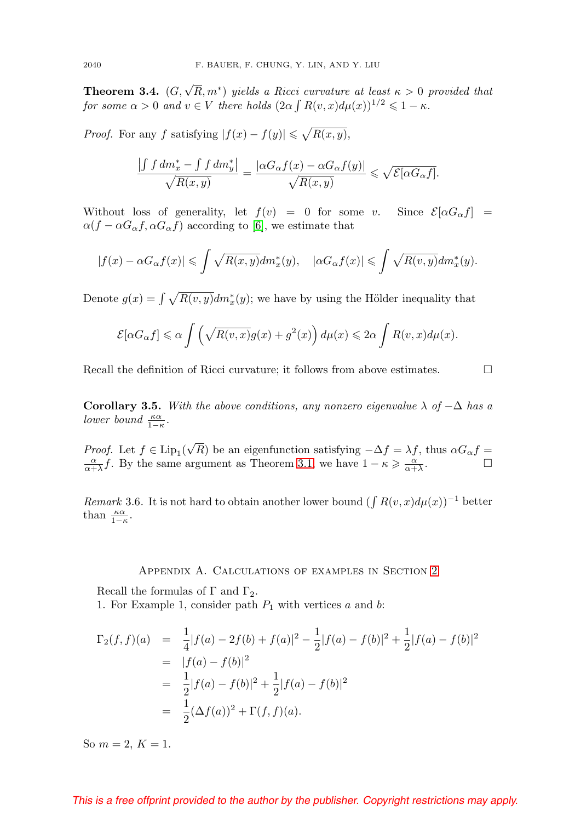**Theorem 3.4.**  $(G, \sqrt{R}, m^*)$  yields a Ricci curvature at least  $\kappa > 0$  provided that for some  $\alpha > 0$  and  $v \in V$  there holds  $(2\alpha \int R(v,x)d\mu(x))^{1/2} \leq 1 - \kappa$ .

*Proof.* For any f satisfying  $|f(x) - f(y)| \leq \sqrt{R(x, y)}$ ,

$$
\frac{\left| \int f \, dm_x^* - \int f \, dm_y^* \right|}{\sqrt{R(x,y)}} = \frac{|\alpha G_\alpha f(x) - \alpha G_\alpha f(y)|}{\sqrt{R(x,y)}} \leqslant \sqrt{\mathcal{E}[\alpha G_\alpha f]}.
$$

Without loss of generality, let  $f(v) = 0$  for some v. Since  $\mathcal{E}[\alpha G_{\alpha} f] =$  $\alpha(f - \alpha G_{\alpha} f, \alpha G_{\alpha} f)$  according to [\[6\]](#page-8-5), we estimate that

$$
|f(x) - \alpha G_{\alpha}f(x)| \leqslant \int \sqrt{R(x, y)} dm_x^*(y), \quad |\alpha G_{\alpha}f(x)| \leqslant \int \sqrt{R(v, y)} dm_x^*(y).
$$

Denote  $g(x) = \int \sqrt{R(v, y)} dm_x^*(y)$ ; we have by using the Hölder inequality that

$$
\mathcal{E}[\alpha G_{\alpha}f] \leq \alpha \int \left(\sqrt{R(v,x)}g(x) + g^2(x)\right)d\mu(x) \leq 2\alpha \int R(v,x)d\mu(x).
$$

Recall the definition of Ricci curvature; it follows from above estimates.

**Corollary 3.5.** With the above conditions, any nonzero eigenvalue  $\lambda$  of  $-\Delta$  has a lower bound  $\frac{\kappa \alpha}{1-\kappa}$ .

*Proof.* Let  $f \in Lip_1$ ( √ *Proof.* Let  $f \in \text{Lip}_1(\sqrt{R})$  be an eigenfunction satisfying  $-\Delta f = \lambda f$ , thus  $\alpha G_\alpha f = \frac{\alpha}{\alpha + \lambda} f$ . By the same argument as Theorem [3.1,](#page-5-0) we have  $1 - \kappa \geq \frac{\alpha}{\alpha + \lambda}$ .

Remark 3.6. It is not hard to obtain another lower bound ( $\int R(v, x)d\mu(x)$ )<sup>-1</sup> better than  $\frac{\kappa \alpha}{1-\kappa}$ .

### Appendix A. Calculations of examples in Section [2](#page-1-0)

<span id="page-7-0"></span>Recall the formulas of  $\Gamma$  and  $\Gamma_2$ .

1. For Example 1, consider path  $P_1$  with vertices a and b:

$$
\Gamma_2(f, f)(a) = \frac{1}{4}|f(a) - 2f(b) + f(a)|^2 - \frac{1}{2}|f(a) - f(b)|^2 + \frac{1}{2}|f(a) - f(b)|^2
$$
  
=  $|f(a) - f(b)|^2$   
=  $\frac{1}{2}|f(a) - f(b)|^2 + \frac{1}{2}|f(a) - f(b)|^2$   
=  $\frac{1}{2}(\Delta f(a))^2 + \Gamma(f, f)(a).$ 

So  $m = 2, K = 1$ .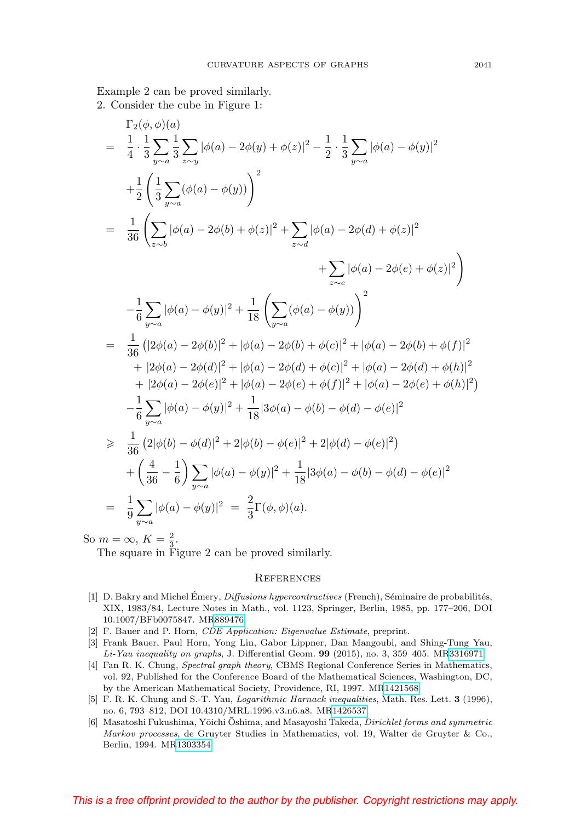Example 2 can be proved similarly. 2. Consider the cube in Figure 1:

$$
\Gamma_{2}(\phi,\phi)(a) = \frac{1}{4} \cdot \frac{1}{3} \sum_{y\sim a} \frac{1}{3} \sum_{z\sim y} |\phi(a) - 2\phi(y) + \phi(z)|^{2} - \frac{1}{2} \cdot \frac{1}{3} \sum_{y\sim a} |\phi(a) - \phi(y)|^{2}
$$
\n
$$
+ \frac{1}{2} \left( \frac{1}{3} \sum_{y\sim a} (\phi(a) - \phi(y)) \right)^{2}
$$
\n
$$
= \frac{1}{36} \left( \sum_{z\sim b} |\phi(a) - 2\phi(b) + \phi(z)|^{2} + \sum_{z\sim d} |\phi(a) - 2\phi(d) + \phi(z)|^{2} + \sum_{z\sim e} |\phi(a) - 2\phi(e) + \phi(z)|^{2} \right)
$$
\n
$$
- \frac{1}{6} \sum_{y\sim a} |\phi(a) - \phi(y)|^{2} + \frac{1}{18} \left( \sum_{y\sim a} (\phi(a) - \phi(y)) \right)^{2}
$$
\n
$$
= \frac{1}{36} (|2\phi(a) - 2\phi(b)|^{2} + |\phi(a) - 2\phi(b) + \phi(c)|^{2} + |\phi(a) - 2\phi(b) + \phi(f)|^{2} + |2\phi(a) - 2\phi(d)|^{2} + |\phi(a) - 2\phi(c) + \phi(f)|^{2} + |2\phi(a) - 2\phi(e)|^{2} + |\phi(a) - 2\phi(e) + \phi(b)|^{2})
$$
\n
$$
+ |2\phi(a) - 2\phi(e)|^{2} + |\phi(a) - 2\phi(e) + \phi(f)|^{2} + |\phi(a) - 2\phi(e) + \phi(h)|^{2})
$$
\n
$$
- \frac{1}{6} \sum_{y\sim a} |\phi(a) - \phi(y)|^{2} + \frac{1}{18} |3\phi(a) - \phi(b) - \phi(d) - \phi(e)|^{2}
$$
\n
$$
\geq \frac{1}{36} (2|\phi(b) - \phi(d)|^{2} + 2|\phi(b) - \phi(e)|^{2} + 2|\phi(d) - \phi(b)|^{2})
$$
\n
$$
+ \left( \frac{4}{36} - \frac{1}{6} \right) \sum_{y\sim a} |\phi(a) - \phi(y)|^{2} + \frac{1}{18} |3\phi(a) - \phi(b)
$$

So  $m = \infty$ ,  $K = \frac{2}{3}$ .

The square in Figure 2 can be proved similarly.

#### **REFERENCES**

- <span id="page-8-0"></span>[1] D. Bakry and Michel Emery, *Diffusions hypercontractives* (French), Séminaire de probabilités, XIX, 1983/84, Lecture Notes in Math., vol. 1123, Springer, Berlin, 1985, pp. 177–206, DOI 10.1007/BFb0075847. M[R889476](http://www.ams.org/mathscinet-getitem?mr=889476)
- <span id="page-8-2"></span>[2] F. Bauer and P. Horn, CDE Application: Eigenvalue Estimate, preprint.
- <span id="page-8-1"></span>[3] Frank Bauer, Paul Horn, Yong Lin, Gabor Lippner, Dan Mangoubi, and Shing-Tung Yau, Li-Yau inequality on graphs, J. Differential Geom. **99** (2015), no. 3, 359–405. M[R3316971](http://www.ams.org/mathscinet-getitem?mr=3316971)
- <span id="page-8-3"></span>[4] Fan R. K. Chung, Spectral graph theory, CBMS Regional Conference Series in Mathematics, vol. 92, Published for the Conference Board of the Mathematical Sciences, Washington, DC, by the American Mathematical Society, Providence, RI, 1997. M[R1421568](http://www.ams.org/mathscinet-getitem?mr=1421568)
- <span id="page-8-4"></span>[5] F. R. K. Chung and S.-T. Yau, Logarithmic Harnack inequalities, Math. Res. Lett. **3** (1996), no. 6, 793–812, DOI 10.4310/MRL.1996.v3.n6.a8. M[R1426537](http://www.ams.org/mathscinet-getitem?mr=1426537)
- <span id="page-8-5"></span>[6] Masatoshi Fukushima, Yōichi Oshima, and Masayoshi Takeda, *Dirichlet forms and symmetric* Markov processes, de Gruyter Studies in Mathematics, vol. 19, Walter de Gruyter & Co., Berlin, 1994. M[R1303354](http://www.ams.org/mathscinet-getitem?mr=1303354)